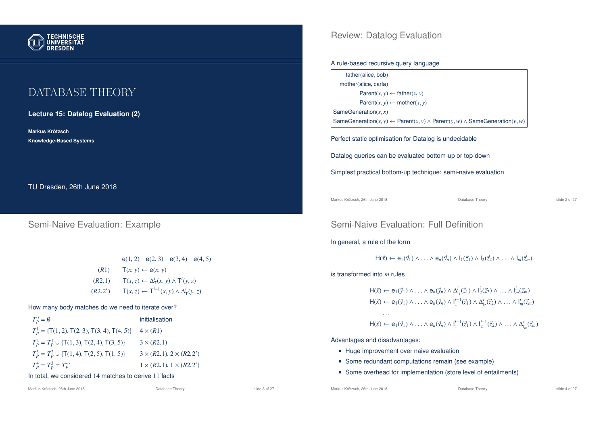

# DATABASE THEORY

**Lecture 15: Datalog Evaluation (2)**

**Markus Krotzsch ¨ Knowledge-Based Systems**

TU Dresden, 26th June 2018

### Semi-Naive Evaluation: Example

|         | $e(1,2)$ $e(2,3)$ $e(3,4)$ $e(4,5)$                        |  |
|---------|------------------------------------------------------------|--|
| (R1)    | $T(x, y) \leftarrow e(x, y)$                               |  |
| (R2.1)  | $T(x, z) \leftarrow \Delta_T^i(x, y) \wedge T^i(y, z)$     |  |
| (R2.2') | $T(x, z) \leftarrow T^{i-1}(x, y) \wedge \Delta_T^i(y, z)$ |  |

#### How many body matches do we need to iterate over?

| $T_p^0 = \emptyset$                                | initialisation                     |
|----------------------------------------------------|------------------------------------|
| $T_p^1 = \{T(1, 2), T(2, 3), T(3, 4), T(4, 5)\}\$  | $4 \times (R1)$                    |
| $T_p^2 = T_p^1 \cup \{T(1, 3), T(2, 4), T(3, 5)\}$ | $3 \times (R2.1)$                  |
| $T_p^3 = T_p^2 \cup \{T(1, 4), T(2, 5), T(1, 5)\}$ | $3 \times (R2.1), 2 \times (R2.2)$ |
| $T_p^4 = T_p^3 = T_p^{\infty}$                     | $1 \times (R2.1), 1 \times (R2.2)$ |

#### In total, we considered 14 matches to derive 11 facts

0 )

0 )

Review: Datalog Evaluation

#### A rule-based recursive query language

| father(alice, bob)                                                                                 |
|----------------------------------------------------------------------------------------------------|
| mother(alice, carla)                                                                               |
| Parent $(x, y) \leftarrow$ father $(x, y)$                                                         |
| Parent $(x, y) \leftarrow \text{mother}(x, y)$                                                     |
| SameGeneration $(x, x)$                                                                            |
| SameGeneration(x, y) $\leftarrow$ Parent(x, y) $\wedge$ Parent(y, w) $\wedge$ SameGeneration(y, w) |
|                                                                                                    |

Perfect static optimisation for Datalog is undecidable

Datalog queries can be evaluated bottom-up or top-down

Simplest practical bottom-up technique: semi-naive evaluation

Markus Krötzsch, 26th June 2018 **Database Theory** Database Theory **Slide 2 of 27** slide 2 of 27

### Semi-Naive Evaluation: Full Definition

In general, a rule of the form

$$
H(\vec{x}) \leftarrow e_1(\vec{y}_1) \wedge \ldots \wedge e_n(\vec{y}_n) \wedge I_1(\vec{z}_1) \wedge I_2(\vec{z}_2) \wedge \ldots \wedge I_m(\vec{z}_m)
$$

is transformed into *m* rules

$$
H(\vec{x}) \leftarrow e_1(\vec{y}_1) \land \dots \land e_n(\vec{y}_n) \land \Delta_{l_1}^i(\vec{z}_1) \land l_2^i(\vec{z}_2) \land \dots \land l_m^i(\vec{z}_m)
$$
  
\n
$$
H(\vec{x}) \leftarrow e_1(\vec{y}_1) \land \dots \land e_n(\vec{y}_n) \land l_1^{i-1}(\vec{z}_1) \land \Delta_{l_2}^i(\vec{z}_2) \land \dots \land l_m^i(\vec{z}_m)
$$
  
\n...  
\n
$$
H(\vec{x}) \leftarrow e_1(\vec{y}_1) \land \dots \land e_n(\vec{y}_n) \land l_1^{i-1}(\vec{z}_1) \land l_2^{i-1}(\vec{z}_2) \land \dots \land \Delta_{l_m}^i(\vec{z}_m)
$$

Advantages and disadvantages:

- Huge improvement over naive evaluation
- Some redundant computations remain (see example)
- Some overhead for implementation (store level of entailments)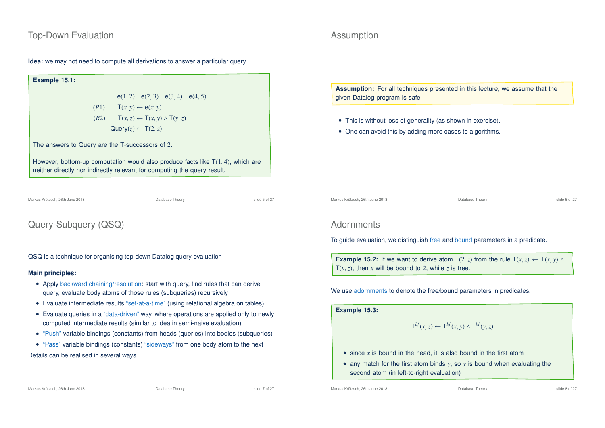### Top-Down Evaluation

#### **Idea:** we may not need to compute all derivations to answer a particular query

**Example 15.1:** e(1, 2) e(2, 3) e(3, 4) e(4, 5)  $(T(x, y) \leftarrow \mathbf{e}(x, y))$ (*R*2) <sup>T</sup>(*x*,*z*) ← <sup>T</sup>(*x*, *y*) ∧ <sup>T</sup>(*y*,*z*)  $Query(z) \leftarrow T(2, z)$ The answers to Query are the T-successors of 2. However, bottom-up computation would also produce facts like  $T(1, 4)$ , which are neither directly nor indirectly relevant for computing the query result.

Markus Krötzsch, 26th June 2018 **Database Theory** Database Theory **Slide 5 of 27** Slide 5 of 27

## Query-Subquery (QSQ)

QSQ is a technique for organising top-down Datalog query evaluation

#### **Main principles:**

- Apply backward chaining/resolution: start with query, find rules that can derive query, evaluate body atoms of those rules (subqueries) recursively
- Evaluate intermediate results "set-at-a-time" (using relational algebra on tables)
- Evaluate queries in a "data-driven" way, where operations are applied only to newly computed intermediate results (similar to idea in semi-naive evaluation)
- "Push" variable bindings (constants) from heads (queries) into bodies (subqueries)
- "Pass" variable bindings (constants) "sideways" from one body atom to the next

Details can be realised in several ways.

#### Markus Krötzsch, 26th June 2018 **Database Theory** Database Theory slide 7 of 27 slide 7 of 27

### Assumption

**Assumption:** For all techniques presented in this lecture, we assume that the given Datalog program is safe.

- This is without loss of generality (as shown in exercise).
- One can avoid this by adding more cases to algorithms.

Markus Krötzsch, 26th June 2018 Database Theory slide 6 of 27

#### **Adornments**

To guide evaluation, we distinguish free and bound parameters in a predicate.

**Example 15.2:** If we want to derive atom  $T(2, z)$  from the rule  $T(x, z) \leftarrow T(x, y) \wedge T(x, y)$  $T(y, z)$ , then *x* will be bound to 2, while *z* is free.

We use adornments to denote the free/bound parameters in predicates.

**Example 15.3:**

$$
\mathsf{T}^{bf}(x,z) \leftarrow \mathsf{T}^{bf}(x,y) \wedge \mathsf{T}^{bf}(y,z)
$$

- since *x* is bound in the head, it is also bound in the first atom
- any match for the first atom binds *y*, so *y* is bound when evaluating the second atom (in left-to-right evaluation)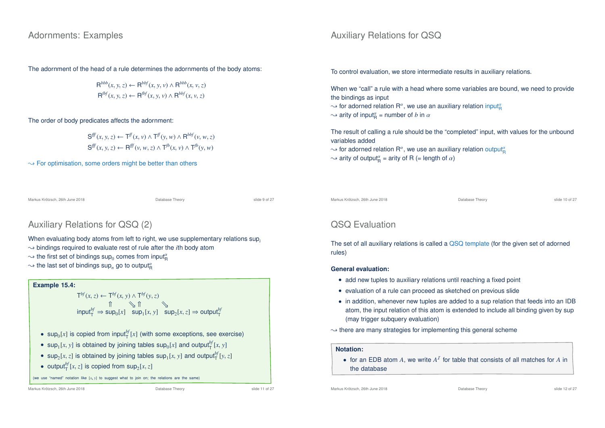#### Adornments: Examples

The adornment of the head of a rule determines the adornments of the body atoms:

$$
\mathsf{R}^{bbb}(x, y, z) \leftarrow \mathsf{R}^{bbf}(x, y, v) \land \mathsf{R}^{bbb}(x, v, z)
$$
  

$$
\mathsf{R}^{fbf}(x, y, z) \leftarrow \mathsf{R}^{fbf}(x, y, v) \land \mathsf{R}^{bbf}(x, v, z)
$$

The order of body predicates affects the adornment:

 $\mathbf{S}^{\text{ff}}(x, y, z) \leftarrow \mathsf{T}^{\text{ff}}(x, y) \land \mathsf{T}^{\text{ff}}(y, w) \land \mathsf{R}^{\text{bbf}}(v, w, z)$  $\mathbf{S}^{\text{ff}}(x, y, z) \leftarrow \mathbf{R}^{\text{ff}}(v, w, z) \wedge \mathbf{T}^{\text{fb}}(x, v) \wedge \mathbf{T}^{\text{fb}}(y, w)$ 

 $\rightarrow$  For optimisation, some orders might be better than others

Markus Krötzsch, 26th June 2018 **Database Theory** Database Theory **Slide 9 of 27** Slide 9 of 27

## Auxiliary Relations for QSQ (2)

When evaluating body atoms from left to right, we use supplementary relations sup*<sup>i</sup>*

- $\rightarrow$  bindings required to evaluate rest of rule after the *i*th body atom
- $\sim$  the first set of bindings  $\mathsf{sup}_0$  comes from input $^{\alpha}_{\mathsf{R}}$
- $\rightsquigarrow$  the last set of bindings  $\mathsf{sup}_n$  go to output $^{\alpha}_{\mathsf{R}}$

#### **Example 15.4:**  $\mathsf{T}^{bf}(x, z) \leftarrow \mathsf{T}^{bf}(x, y) \wedge \mathsf{T}^{bf}(y, z)$ ⇑ u ⇑ u  $\int_{\tau}^{\pi}$  input<sup>*bf*</sup></sup>  $\Rightarrow$  sup<sub>0</sub>[*x*]  $\int$  sup<sub>1</sub>[*x*,*y*]  $\int$  sup<sub>2</sub>[*x*,*z*]  $\Rightarrow$  output<sup>*bf*</sup></sup>

- sup<sub>0</sub>[x] is copied from input<sup>bf</sup><sub>[X]</sub> (with some exceptions, see exercise)
- sup<sub>1</sub>[x, y] is obtained by joining tables  $sup_0[x]$  and  $output_T^{bf}[x, y]$
- sup<sub>2</sub>[x, z] is obtained by joining tables sup<sub>1</sub>[x, y] and output<sup>bf</sup><sub>1</sub>[y, z]
- output<sup>b</sup><sub>*I*</sub></sub> $[x, z]$  is copied from  $sup_2[x, z]$

(we use "named" notation like [*x*, *y*] to suggest what to join on; the relations are the same)

Markus Krötzsch, 26th June 2018 **Database Theory** Database Theory slide 11 of 27

Auxiliary Relations for QSQ

To control evaluation, we store intermediate results in auxiliary relations.

When we "call" a rule with a head where some variables are bound, we need to provide the bindings as input

 $\sim$  for adorned relation R $^a$ , we use an auxiliary relation input $^a_\mathsf{R}$ 

 $\sim$  arity of input<sub>R</sub><sup> $\alpha$ </sup> = number of *b* in  $\alpha$ 

The result of calling a rule should be the "completed" input, with values for the unbound variables added

- $\sim$  for adorned relation  $\mathsf{R}^{\alpha},$  we use an auxiliary relation output $^{\alpha}_{\mathsf{R}}$
- $\sim$  arity of output $_{\mathsf{R}}^{\alpha}$  = arity of R (= length of  $\alpha$ )

Markus Krötzsch, 26th June 2018 **Database Theory** Database Theory slide 10 of 27

## QSQ Evaluation

The set of all auxiliary relations is called a QSQ template (for the given set of adorned rules)

#### **General evaluation:**

- add new tuples to auxiliary relations until reaching a fixed point
- evaluation of a rule can proceed as sketched on previous slide
- in addition, whenever new tuples are added to a sup relation that feeds into an IDB atom, the input relation of this atom is extended to include all binding given by sup (may trigger subquery evaluation)
- $\rightarrow$  there are many strategies for implementing this general scheme

#### **Notation:**

• for an EDB atom  $A$ , we write  $A<sup>T</sup>$  for table that consists of all matches for  $A$  in the database

Markus Krötzsch, 26th June 2018 **Database Theory** Database Theory slide 12 of 27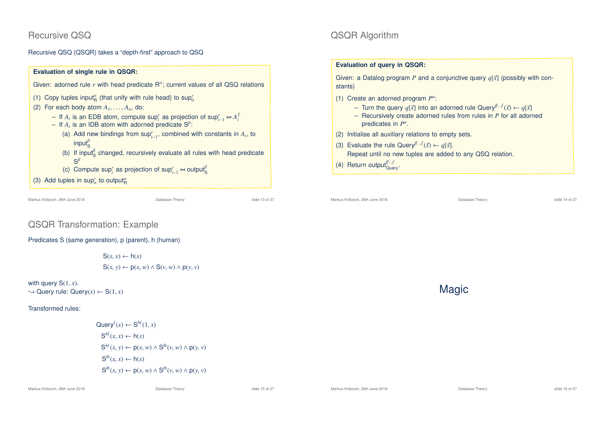### Recursive QSQ

Recursive QSQ (QSQR) takes a "depth-first" approach to QSQ



Markus Krötzsch, 26th June 2018 Database Theory slide 13 of 27

## QSQR Algorithm

#### **Evaluation of query in QSQR:**

Given: a Datalog program *P* and a conjunctive query  $q[\vec{x}]$  (possibly with constants)

- (1) Create an adorned program  $P^a$ :
	- Turn the query  $q[\vec{x}]$  into an adorned rule Query<sup> $f^{\text{r}} \cdot f(\vec{x}) \leftarrow q[\vec{x}]$ </sup>
	- Recursively create adorned rules from rules in *P* for all adorned predicates in  $P^a$ .
- (2) Initialise all auxiliary relations to empty sets.
- (3) Evaluate the rule Query<sup> $f^{f-f}(\vec{x}) \leftarrow q[\vec{x}].$ </sup> Repeat until no new tuples are added to any QSQ relation.
- (4) Return output $_{\text{Query}}^{f...f}$ .

```
Markus Krötzsch, 26th June 2018 Database Theory slide 14 of 27
```
Magic

## QSQR Transformation: Example

Predicates S (same generation), p (parent), h (human)

 $S(x, x) \leftarrow h(x)$ <sup>S</sup>(*x*, *y*) ← <sup>p</sup>(*x*,*w*) ∧ <sup>S</sup>(*v*,*w*) ∧ <sup>p</sup>(*y*, *v*)

with query  $S(1, x)$ .  $\rightarrow$  Query rule: Query(x)  $\leftarrow$  S(1, x)

Transformed rules:

$$
\begin{aligned}\n\text{Query}^f(x) &\leftarrow \mathbf{S}^{bf}(1,x) \\
\mathbf{S}^{bf}(x,x) &\leftarrow \mathsf{h}(x) \\
\mathbf{S}^{bf}(x,y) &\leftarrow \mathsf{p}(x,w) \land \mathbf{S}^{fb}(v,w) \land \mathsf{p}(v,v) \\
\mathbf{S}^{fb}(x,x) &\leftarrow \mathsf{h}(x) \\
\mathbf{S}^{fb}(x,y) &\leftarrow \mathsf{p}(x,w) \land \mathbf{S}^{fb}(v,w) \land \mathsf{p}(v,v)\n\end{aligned}
$$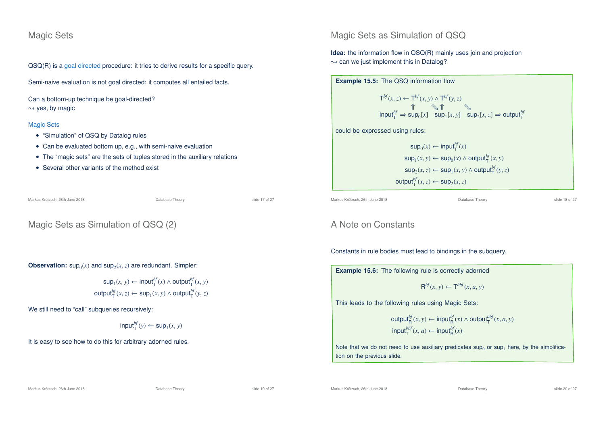### Magic Sets

QSQ(R) is a goal directed procedure: it tries to derive results for a specific query.

Semi-naive evaluation is not goal directed: it computes all entailed facts.

Can a bottom-up technique be goal-directed?  $\rightarrow$  yes, by magic

#### Magic Sets

- "Simulation" of QSQ by Datalog rules
- Can be evaluated bottom up, e.g., with semi-naive evaluation
- The "magic sets" are the sets of tuples stored in the auxiliary relations
- Several other variants of the method exist

Markus Krötzsch, 26th June 2018 Database Theory slide 17 of 27

## Magic Sets as Simulation of QSQ (2)

**Observation:**  $\sup_0(x)$  and  $\sup_2(x, z)$  are redundant. Simpler:

$$
sup_1(x, y) \leftarrow input_T^{bf}(x) \land output_T^{bf}(x, y)
$$
  
output\_T^{bf}(x, z) \leftarrow sup\_1(x, y) \land output\_T^{bf}(y, z)

We still need to "call" subqueries recursively:

$$
\mathsf{input}^{bf}_{\mathsf{T}}(y) \leftarrow \mathsf{sup}_{1}(x, y)
$$

It is easy to see how to do this for arbitrary adorned rules.

### Magic Sets as Simulation of QSQ

**Idea:** the information flow in QSQ(R) mainly uses join and projection  $\rightarrow$  can we just implement this in Datalog?



Markus Krötzsch, 26th June 2018 **Database Theory** Database Theory slide 18 of 27

### A Note on Constants

Constants in rule bodies must lead to bindings in the subquery.

**Example 15.6:** The following rule is correctly adorned

 $R^{bf}(x, y) \leftarrow T^{bbf}(x, a, y)$ 

This leads to the following rules using Magic Sets:

$$
\begin{aligned}\n\text{output}_{\mathsf{R}}^{bf}(x, y) &\leftarrow \text{input}_{\mathsf{R}}^{bf}(x) \land \text{output}_{\mathsf{T}}^{bbf}(x, a, y) \\
\text{input}_{\mathsf{T}}^{bbf}(x, a) &\leftarrow \text{input}_{\mathsf{R}}^{bf}(x)\n\end{aligned}
$$

Note that we do not need to use auxiliary predicates  $\sup_0$  or  $\sup_1$  here, by the simplification on the previous slide.

Markus Krötzsch, 26th June 2018 Database Theory slide 19 of 27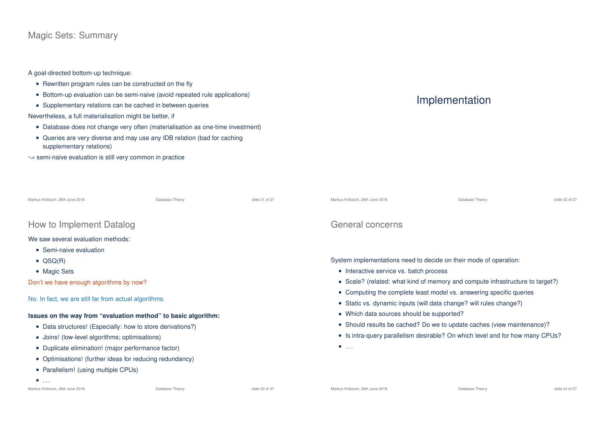### Magic Sets: Summary

A goal-directed bottom-up technique:

- Rewritten program rules can be constructed on the fly
- Bottom-up evaluation can be semi-naive (avoid repeated rule applications)
- Supplementary relations can be cached in between queries

Nevertheless, a full materialisation might be better, if

- Database does not change very often (materialisation as one-time investment)
- Queries are very diverse and may use any IDB relation (bad for caching supplementary relations)
- $\rightsquigarrow$  semi-naive evaluation is still very common in practice

# Implementation

| Markus Krötzsch, 26th June 2018                                | Database Theory | slide 21 of 27 | Markus Krötzsch, 26th June 2018                                                                                                           | Database Theory                                                        | slide 22 of 27 |  |
|----------------------------------------------------------------|-----------------|----------------|-------------------------------------------------------------------------------------------------------------------------------------------|------------------------------------------------------------------------|----------------|--|
| How to Implement Datalog                                       |                 |                | General concerns                                                                                                                          |                                                                        |                |  |
| We saw several evaluation methods:<br>• Semi-naive evaluation  |                 |                |                                                                                                                                           |                                                                        |                |  |
| $\bullet$ QSQ(R)<br>• Magic Sets                               |                 |                | System implementations need to decide on their mode of operation:<br>• Interactive service vs. batch process                              |                                                                        |                |  |
| Don't we have enough algorithms by now?                        |                 |                | • Scale? (related: what kind of memory and compute infrastructure to target?)                                                             |                                                                        |                |  |
| No. In fact, we are still far from actual algorithms.          |                 |                | • Computing the complete least model vs. answering specific queries<br>• Static vs. dynamic inputs (will data change? will rules change?) |                                                                        |                |  |
| Issues on the way from "evaluation method" to basic algorithm: |                 |                | • Which data sources should be supported?                                                                                                 |                                                                        |                |  |
| • Data structures! (Especially: how to store derivations?)     |                 |                |                                                                                                                                           | • Should results be cached? Do we to update caches (view maintenance)? |                |  |
| • Joins! (low-level algorithms; optimisations)                 |                 |                | • Is intra-query parallelism desirable? On which level and for how many CPUs?                                                             |                                                                        |                |  |
| • Duplicate elimination! (major performance factor)            |                 |                | $\bullet$                                                                                                                                 |                                                                        |                |  |
| • Optimisations! (further ideas for reducing redundancy)       |                 |                |                                                                                                                                           |                                                                        |                |  |
| • Parallelism! (using multiple CPUs)                           |                 |                |                                                                                                                                           |                                                                        |                |  |
| $\bullet$                                                      |                 |                |                                                                                                                                           |                                                                        |                |  |
| Markus Krötzsch, 26th June 2018                                | Database Theory | slide 23 of 27 | Markus Krötzsch, 26th June 2018                                                                                                           | Database Theory                                                        | slide 24 of 27 |  |